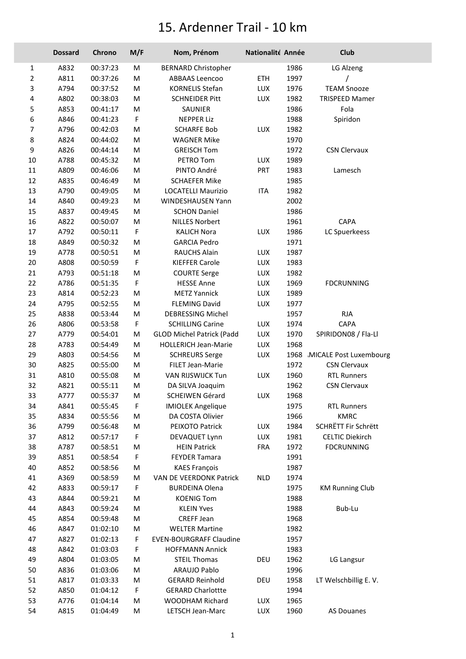## 15. Ardenner Trail - 10 km

|                | <b>Dossard</b> | Chrono   | M/F | Nom, Prénom                      | Nationalité Année |      | <b>Club</b>                 |
|----------------|----------------|----------|-----|----------------------------------|-------------------|------|-----------------------------|
| 1              | A832           | 00:37:23 | M   | <b>BERNARD Christopher</b>       |                   | 1986 | LG Alzeng                   |
| $\overline{2}$ | A811           | 00:37:26 | M   | ABBAAS Leencoo                   | ETH               | 1997 |                             |
| 3              | A794           | 00:37:52 | Μ   | <b>KORNELIS Stefan</b>           | LUX               | 1976 | <b>TEAM Snooze</b>          |
| 4              | A802           | 00:38:03 | М   | <b>SCHNEIDER Pitt</b>            | LUX               | 1982 | <b>TRISPEED Mamer</b>       |
| 5              | A853           | 00:41:17 | M   | SAUNIER                          |                   | 1986 | Fola                        |
| 6              | A846           | 00:41:23 | F   | <b>NEPPER Liz</b>                |                   | 1988 | Spiridon                    |
| 7              | A796           | 00:42:03 | M   | <b>SCHARFE Bob</b>               | LUX               | 1982 |                             |
| 8              | A824           | 00:44:02 | М   | <b>WAGNER Mike</b>               |                   | 1970 |                             |
| 9              | A826           | 00:44:14 | M   | <b>GREISCH Tom</b>               |                   | 1972 | <b>CSN Clervaux</b>         |
| $10\,$         | A788           | 00:45:32 | M   | PETRO Tom                        | LUX               | 1989 |                             |
| $11\,$         | A809           | 00:46:06 | M   | PINTO André                      | <b>PRT</b>        | 1983 | Lamesch                     |
| 12             | A835           | 00:46:49 | М   | <b>SCHAEFER Mike</b>             |                   | 1985 |                             |
| 13             | A790           | 00:49:05 | Μ   | LOCATELLI Maurizio               | ITA               | 1982 |                             |
| 14             | A840           | 00:49:23 | Μ   | WINDESHAUSEN Yann                |                   | 2002 |                             |
| 15             | A837           | 00:49:45 | Μ   | <b>SCHON Daniel</b>              |                   | 1986 |                             |
| 16             | A822           | 00:50:07 | M   | <b>NILLES Norbert</b>            |                   | 1961 | CAPA                        |
| 17             | A792           | 00:50:11 | F   | <b>KALICH Nora</b>               | LUX               | 1986 | LC Spuerkeess               |
| 18             | A849           | 00:50:32 | M   | <b>GARCIA Pedro</b>              |                   | 1971 |                             |
| 19             | A778           | 00:50:51 | Μ   | RAUCHS Alain                     | <b>LUX</b>        | 1987 |                             |
| 20             | A808           | 00:50:59 | F   | <b>KIEFFER Carole</b>            | LUX               | 1983 |                             |
| 21             | A793           | 00:51:18 | M   | <b>COURTE Serge</b>              | LUX               | 1982 |                             |
| 22             | A786           | 00:51:35 | F   | <b>HESSE Anne</b>                | LUX               | 1969 | <b>FDCRUNNING</b>           |
| 23             | A814           | 00:52:23 | M   | <b>METZ Yannick</b>              | LUX               | 1989 |                             |
| 24             | A795           | 00:52:55 | M   | <b>FLEMING David</b>             | LUX               | 1977 |                             |
| 25             | A838           | 00:53:44 | Μ   | DEBRESSING Michel                |                   | 1957 | <b>RJA</b>                  |
| 26             | A806           | 00:53:58 | F   | <b>SCHILLING Carine</b>          | LUX               | 1974 | CAPA                        |
| 27             | A779           | 00:54:01 | Μ   | <b>GLOD Michel Patrick (Padd</b> | LUX               | 1970 | SPIRIDON08 / Fla-Ll         |
| 28             | A783           | 00:54:49 | M   | <b>HOLLERICH Jean-Marie</b>      | LUX               | 1968 |                             |
| 29             | A803           | 00:54:56 | M   | <b>SCHREURS Serge</b>            | LUX               |      | 1968 MICALE Post Luxembourg |
| 30             | A825           | 00:55:00 | Μ   | FILET Jean-Marie                 |                   | 1972 | <b>CSN Clervaux</b>         |
| 31             | A810           | 00:55:08 | Μ   | VAN RIJSWIJCK Tun                | <b>LUX</b>        | 1960 | <b>RTL Runners</b>          |
| 32             | A821           | 00:55:11 | M   | DA SILVA Joaquim                 |                   | 1962 | <b>CSN Clervaux</b>         |
| 33             | A777           | 00:55:37 | M   | SCHEIWEN Gérard                  | LUX               | 1968 |                             |
| 34             | A841           | 00:55:45 | F   | <b>IMIOLEK Angelique</b>         |                   | 1975 | <b>RTL Runners</b>          |
| 35             | A834           | 00:55:56 | Μ   | DA COSTA Olivier                 |                   | 1966 | <b>KMRC</b>                 |
| 36             | A799           | 00:56:48 | Μ   | PEIXOTO Patrick                  | LUX               | 1984 | SCHRETT Fir Schrëtt         |
| 37             | A812           | 00:57:17 | F   | DEVAQUET Lynn                    | LUX               | 1981 | <b>CELTIC Diekirch</b>      |
| 38             | A787           | 00:58:51 | Μ   | <b>HEIN Patrick</b>              | <b>FRA</b>        | 1972 | <b>FDCRUNNING</b>           |
| 39             | A851           | 00:58:54 | F   | <b>FEYDER Tamara</b>             |                   | 1991 |                             |
| 40             | A852           | 00:58:56 | Μ   | <b>KAES François</b>             |                   | 1987 |                             |
| 41             | A369           | 00:58:59 | M   | VAN DE VEERDONK Patrick          | <b>NLD</b>        | 1974 |                             |
| 42             | A833           | 00:59:17 | F   | <b>BURDEINA Olena</b>            |                   | 1975 | <b>KM Running Club</b>      |
| 43             | A844           | 00:59:21 | Μ   | <b>KOENIG Tom</b>                |                   | 1988 |                             |
| 44             | A843           | 00:59:24 | Μ   | <b>KLEIN Yves</b>                |                   | 1988 | Bub-Lu                      |
| 45             | A854           | 00:59:48 | Μ   | CREFF Jean                       |                   | 1968 |                             |
| 46             | A847           | 01:02:10 | M   | <b>WELTER Martine</b>            |                   | 1982 |                             |
| 47             | A827           | 01:02:13 | F   | <b>EVEN-BOURGRAFF Claudine</b>   |                   | 1957 |                             |
| 48             | A842           | 01:03:03 | F   | <b>HOFFMANN Annick</b>           |                   | 1983 |                             |
| 49             | A804           | 01:03:05 | Μ   | <b>STEIL Thomas</b>              | DEU               | 1962 | LG Langsur                  |
| 50             | A836           | 01:03:06 | M   | ARAUJO Pablo                     |                   | 1996 |                             |
| 51             | A817           | 01:03:33 | M   | <b>GERARD Reinhold</b>           | DEU               | 1958 | LT Welschbillig E.V.        |
| 52             | A850           | 01:04:12 | F   | <b>GERARD Charlottte</b>         |                   | 1994 |                             |
| 53             | A776           | 01:04:14 | Μ   | WOODHAM Richard                  | LUX               | 1965 |                             |
| 54             | A815           | 01:04:49 | Μ   | LETSCH Jean-Marc                 | LUX               | 1960 | AS Douanes                  |